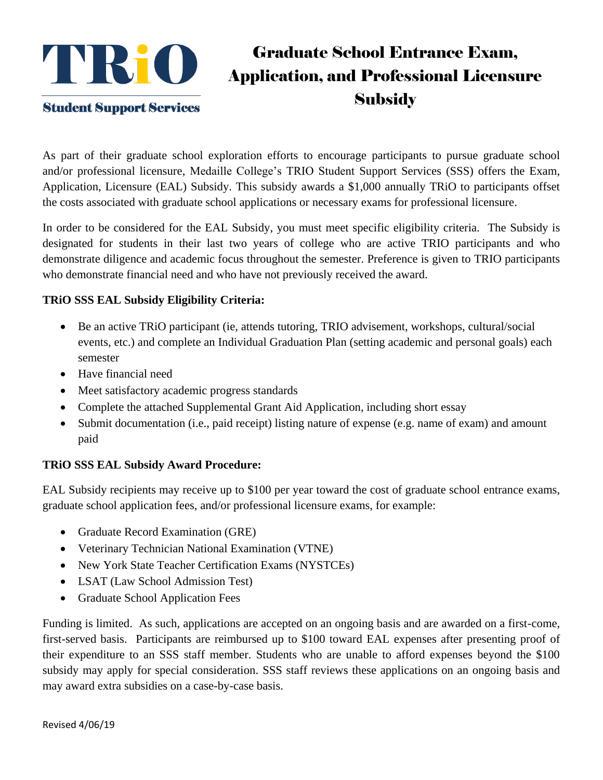

## Graduate School Entrance Exam, Application, and Professional Licensure **Subsidy**

As part of their graduate school exploration efforts to encourage participants to pursue graduate school and/or professional licensure, Medaille College's TRIO Student Support Services (SSS) offers the Exam, Application, Licensure (EAL) Subsidy. This subsidy awards a \$1,000 annually TRiO to participants offset the costs associated with graduate school applications or necessary exams for professional licensure.

In order to be considered for the EAL Subsidy, you must meet specific eligibility criteria. The Subsidy is designated for students in their last two years of college who are active TRIO participants and who demonstrate diligence and academic focus throughout the semester. Preference is given to TRIO participants who demonstrate financial need and who have not previously received the award.

#### **TRiO SSS EAL Subsidy Eligibility Criteria:**

- Be an active TRiO participant (ie, attends tutoring, TRIO advisement, workshops, cultural/social events, etc.) and complete an Individual Graduation Plan (setting academic and personal goals) each semester
- Have financial need
- Meet satisfactory academic progress standards
- Complete the attached Supplemental Grant Aid Application, including short essay
- Submit documentation (i.e., paid receipt) listing nature of expense (e.g. name of exam) and amount paid

#### **TRiO SSS EAL Subsidy Award Procedure:**

EAL Subsidy recipients may receive up to \$100 per year toward the cost of graduate school entrance exams, graduate school application fees, and/or professional licensure exams, for example:

- Graduate Record Examination (GRE)
- Veterinary Technician National Examination (VTNE)
- New York State Teacher Certification Exams (NYSTCEs)
- LSAT (Law School Admission Test)
- Graduate School Application Fees

Funding is limited. As such, applications are accepted on an ongoing basis and are awarded on a first-come, first-served basis. Participants are reimbursed up to \$100 toward EAL expenses after presenting proof of their expenditure to an SSS staff member. Students who are unable to afford expenses beyond the \$100 subsidy may apply for special consideration. SSS staff reviews these applications on an ongoing basis and may award extra subsidies on a case-by-case basis.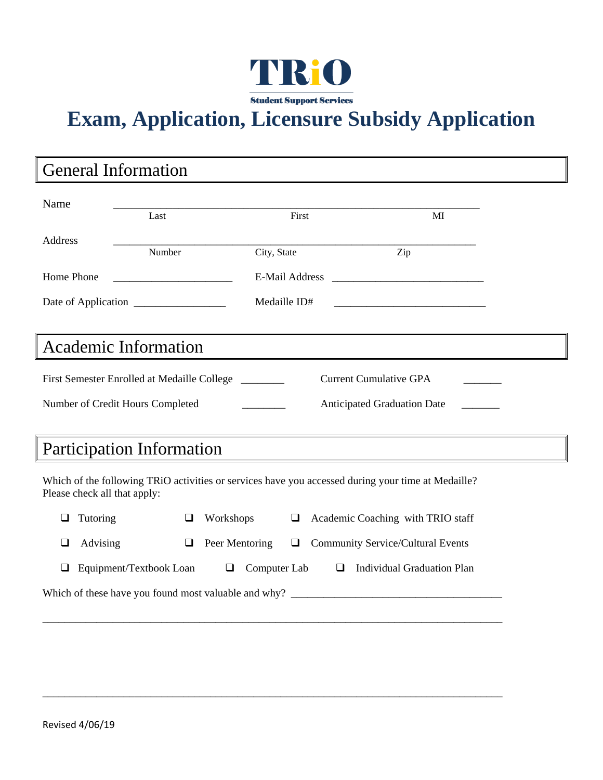

# **Exam, Application, Licensure Subsidy Application**

### General Information

| Name                                                                                                                               |        |                                                      |                       |                                          |  |  |
|------------------------------------------------------------------------------------------------------------------------------------|--------|------------------------------------------------------|-----------------------|------------------------------------------|--|--|
|                                                                                                                                    | Last   |                                                      | First                 | MI                                       |  |  |
| Address                                                                                                                            |        |                                                      |                       |                                          |  |  |
|                                                                                                                                    | Number | City, State                                          |                       | Zip                                      |  |  |
| Home Phone                                                                                                                         |        |                                                      | <b>E-Mail Address</b> |                                          |  |  |
|                                                                                                                                    |        |                                                      | Medaille ID#          |                                          |  |  |
| <b>Academic Information</b>                                                                                                        |        |                                                      |                       |                                          |  |  |
|                                                                                                                                    |        |                                                      |                       |                                          |  |  |
| <b>Current Cumulative GPA</b><br>First Semester Enrolled at Medaille College                                                       |        |                                                      |                       |                                          |  |  |
| Number of Credit Hours Completed<br><b>Anticipated Graduation Date</b>                                                             |        |                                                      |                       |                                          |  |  |
|                                                                                                                                    |        |                                                      |                       |                                          |  |  |
| Participation Information                                                                                                          |        |                                                      |                       |                                          |  |  |
| Which of the following TRiO activities or services have you accessed during your time at Medaille?<br>Please check all that apply: |        |                                                      |                       |                                          |  |  |
| Tutoring<br>❏                                                                                                                      | □      | Workshops                                            | □                     | Academic Coaching with TRIO staff        |  |  |
| Advising<br>⊔                                                                                                                      | □      | Peer Mentoring                                       | □                     | <b>Community Service/Cultural Events</b> |  |  |
| Computer Lab<br>Equipment/Textbook Loan<br><b>Individual Graduation Plan</b><br>❏<br>$\Box$<br>□                                   |        |                                                      |                       |                                          |  |  |
|                                                                                                                                    |        | Which of these have you found most valuable and why? |                       |                                          |  |  |

\_\_\_\_\_\_\_\_\_\_\_\_\_\_\_\_\_\_\_\_\_\_\_\_\_\_\_\_\_\_\_\_\_\_\_\_\_\_\_\_\_\_\_\_\_\_\_\_\_\_\_\_\_\_\_\_\_\_\_\_\_\_\_\_\_\_\_\_\_\_\_\_\_\_\_\_\_\_\_\_\_\_\_\_\_

\_\_\_\_\_\_\_\_\_\_\_\_\_\_\_\_\_\_\_\_\_\_\_\_\_\_\_\_\_\_\_\_\_\_\_\_\_\_\_\_\_\_\_\_\_\_\_\_\_\_\_\_\_\_\_\_\_\_\_\_\_\_\_\_\_\_\_\_\_\_\_\_\_\_\_\_\_\_\_\_\_\_\_\_\_